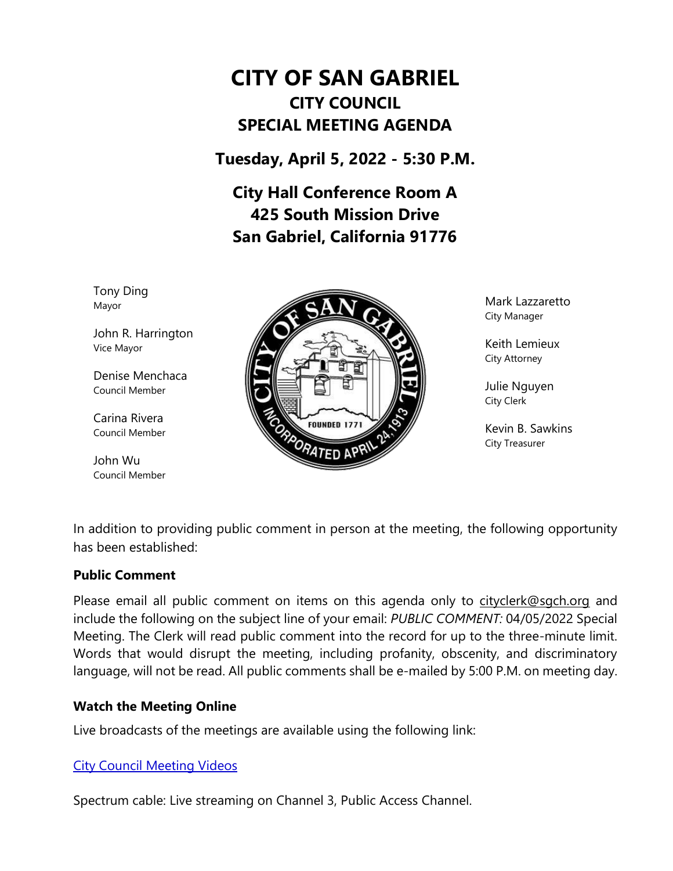# **CITY OF SAN GABRIEL CITY COUNCIL SPECIAL MEETING AGENDA**

**Tuesday, April 5, 2022 - 5:30 P.M.**

**City Hall Conference Room A 425 South Mission Drive San Gabriel, California 91776**

Tony Ding Mayor

John R. Harrington Vice Mayor

Denise Menchaca Council Member

Carina Rivera Council Member

John Wu Council Member



Mark Lazzaretto City Manager

Keith Lemieux City Attorney

Julie Nguyen City Clerk

Kevin B. Sawkins City Treasurer

In addition to providing public comment in person at the meeting, the following opportunity has been established:

#### **Public Comment**

Please email all public comment on items on this agenda only to [cityclerk@sgch.org](mailto:cityclerk@sgch.org) and include the following on the subject line of your email: *PUBLIC COMMENT:* 04/05/2022 Special Meeting. The Clerk will read public comment into the record for up to the three-minute limit. Words that would disrupt the meeting, including profanity, obscenity, and discriminatory language, will not be read. All public comments shall be e-mailed by 5:00 P.M. on meeting day.

#### **Watch the Meeting Online**

Live broadcasts of the meetings are available using the following link:

# [City Council Meeting Videos](https://www.youtube.com/CityofSanGabriel)

Spectrum cable: Live streaming on Channel 3, Public Access Channel.